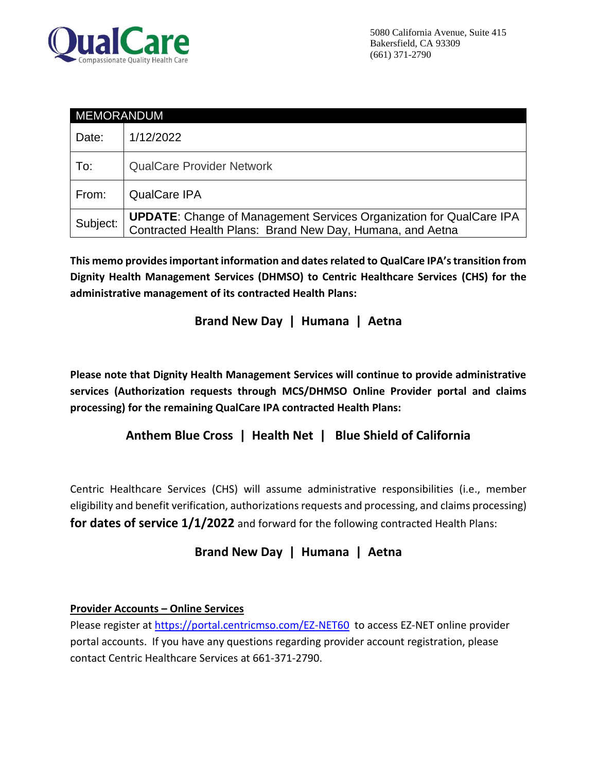

| <b>MEMORANDUM</b> |                                                                                                                                         |
|-------------------|-----------------------------------------------------------------------------------------------------------------------------------------|
| Date:             | 1/12/2022                                                                                                                               |
| To:               | <b>QualCare Provider Network</b>                                                                                                        |
| From:             | <b>QualCare IPA</b>                                                                                                                     |
| Subject:          | <b>UPDATE:</b> Change of Management Services Organization for QualCare IPA<br>Contracted Health Plans: Brand New Day, Humana, and Aetna |

**This memo provides important information and dates related to QualCare IPA's transition from Dignity Health Management Services (DHMSO) to Centric Healthcare Services (CHS) for the administrative management of its contracted Health Plans:**

# **Brand New Day | Humana | Aetna**

**Please note that Dignity Health Management Services will continue to provide administrative services (Authorization requests through MCS/DHMSO Online Provider portal and claims processing) for the remaining QualCare IPA contracted Health Plans:**

# **Anthem Blue Cross | Health Net | Blue Shield of California**

Centric Healthcare Services (CHS) will assume administrative responsibilities (i.e., member eligibility and benefit verification, authorizations requests and processing, and claims processing) **for dates of service 1/1/2022** and forward for the following contracted Health Plans:

### **Brand New Day | Humana | Aetna**

### **Provider Accounts – Online Services**

Please register a[t https://portal.centricmso.com/EZ-NET60](https://portal.centricmso.com/EZ-NET60) to access EZ-NET online provider portal accounts. If you have any questions regarding provider account registration, please contact Centric Healthcare Services at 661-371-2790.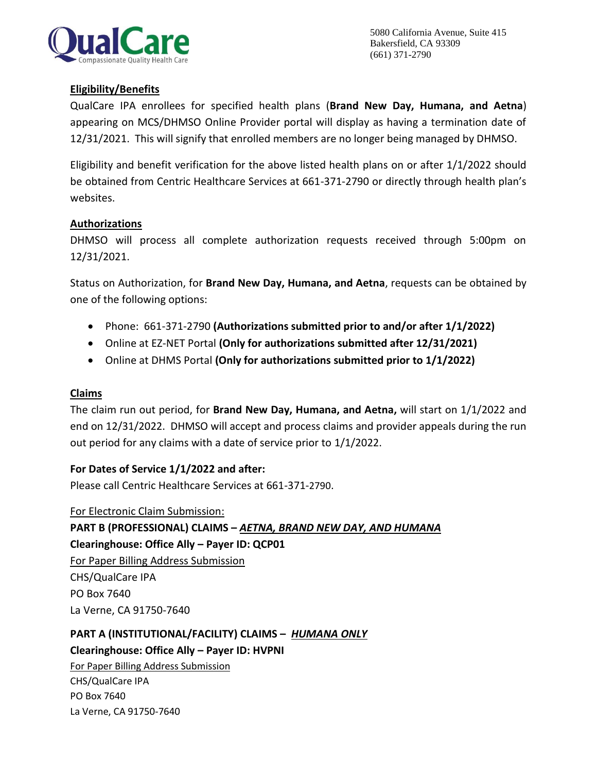

### **Eligibility/Benefits**

QualCare IPA enrollees for specified health plans (**Brand New Day, Humana, and Aetna**) appearing on MCS/DHMSO Online Provider portal will display as having a termination date of 12/31/2021. This will signify that enrolled members are no longer being managed by DHMSO.

Eligibility and benefit verification for the above listed health plans on or after 1/1/2022 should be obtained from Centric Healthcare Services at 661-371-2790 or directly through health plan's websites.

#### **Authorizations**

DHMSO will process all complete authorization requests received through 5:00pm on 12/31/2021.

Status on Authorization, for **Brand New Day, Humana, and Aetna**, requests can be obtained by one of the following options:

- Phone: 661-371-2790 **(Authorizations submitted prior to and/or after 1/1/2022)**
- Online at EZ-NET Portal **(Only for authorizations submitted after 12/31/2021)**
- Online at DHMS Portal **(Only for authorizations submitted prior to 1/1/2022)**

#### **Claims**

The claim run out period, for **Brand New Day, Humana, and Aetna,** will start on 1/1/2022 and end on 12/31/2022. DHMSO will accept and process claims and provider appeals during the run out period for any claims with a date of service prior to 1/1/2022.

**For Dates of Service 1/1/2022 and after:**

Please call Centric Healthcare Services at 661-371-2790.

For Electronic Claim Submission: **PART B (PROFESSIONAL) CLAIMS –** *AETNA, BRAND NEW DAY, AND HUMANA* **Clearinghouse: Office Ally – Payer ID: QCP01** For Paper Billing Address Submission CHS/QualCare IPA PO Box 7640 La Verne, CA 91750-7640

**PART A (INSTITUTIONAL/FACILITY) CLAIMS –** *HUMANA ONLY* **Clearinghouse: Office Ally – Payer ID: HVPNI**

For Paper Billing Address Submission CHS/QualCare IPA PO Box 7640 La Verne, CA 91750-7640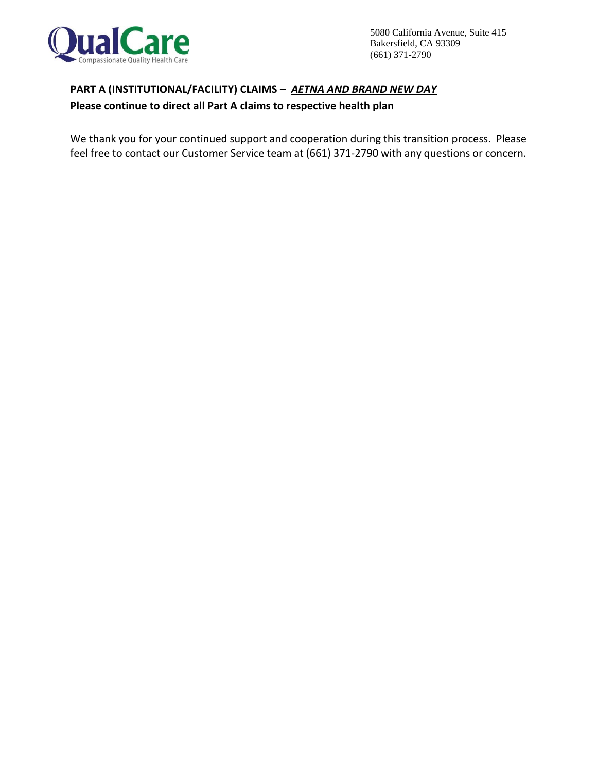

# **PART A (INSTITUTIONAL/FACILITY) CLAIMS –** *AETNA AND BRAND NEW DAY*

### **Please continue to direct all Part A claims to respective health plan**

We thank you for your continued support and cooperation during this transition process. Please feel free to contact our Customer Service team at (661) 371-2790 with any questions or concern.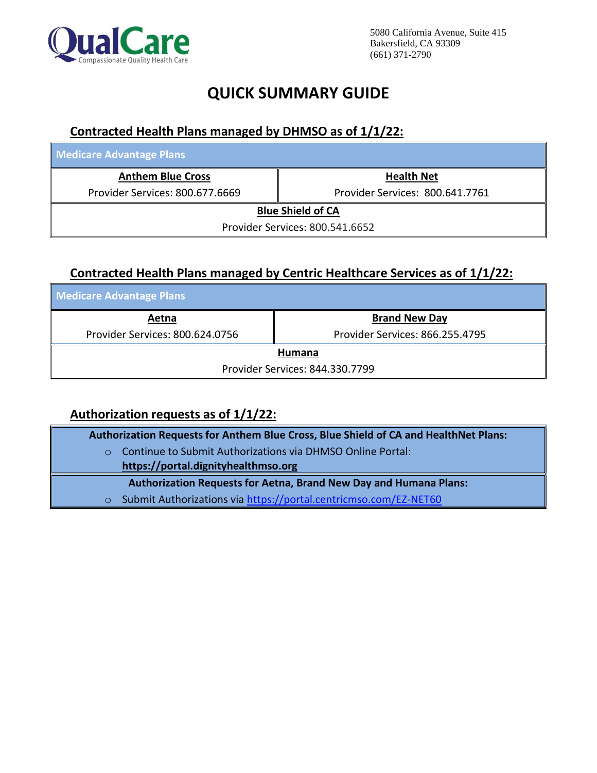

# **QUICK SUMMARY GUIDE**

## **Contracted Health Plans managed by DHMSO as of 1/1/22:**

| <b>Medicare Advantage Plans</b> |                                 |  |  |
|---------------------------------|---------------------------------|--|--|
| <b>Anthem Blue Cross</b>        | <b>Health Net</b>               |  |  |
| Provider Services: 800.677.6669 | Provider Services: 800.641.7761 |  |  |
| <b>Blue Shield of CA</b>        |                                 |  |  |
| Provider Services: 800.541.6652 |                                 |  |  |

### **Contracted Health Plans managed by Centric Healthcare Services as of 1/1/22:**

| <b>Medicare Advantage Plans</b> |                                 |  |  |
|---------------------------------|---------------------------------|--|--|
| Aetna                           | <b>Brand New Day</b>            |  |  |
| Provider Services: 800.624.0756 | Provider Services: 866.255.4795 |  |  |
| Humana                          |                                 |  |  |
| Provider Services: 844.330.7799 |                                 |  |  |

# **Authorization requests as of 1/1/22:**

| Authorization Requests for Anthem Blue Cross, Blue Shield of CA and HealthNet Plans: |                                                                          |  |
|--------------------------------------------------------------------------------------|--------------------------------------------------------------------------|--|
| $\Omega$                                                                             | Continue to Submit Authorizations via DHMSO Online Portal:               |  |
|                                                                                      | https://portal.dignityhealthmso.org                                      |  |
|                                                                                      | <b>Authorization Requests for Aetna, Brand New Day and Humana Plans:</b> |  |
| $\circ$                                                                              | Submit Authorizations via https://portal.centricmso.com/EZ-NET60         |  |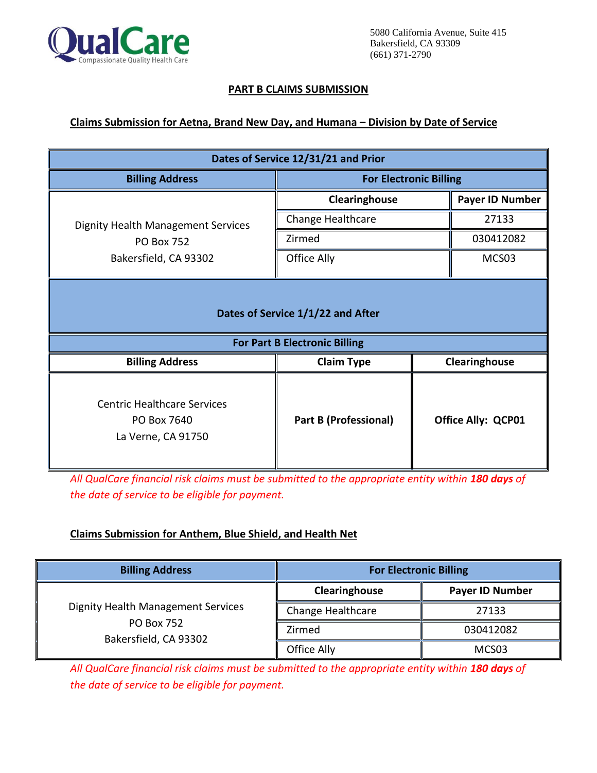

#### **PART B CLAIMS SUBMISSION**

#### **Claims Submission for Aetna, Brand New Day, and Humana – Division by Date of Service**

| Dates of Service 12/31/21 and Prior                                                     |                               |                           |  |
|-----------------------------------------------------------------------------------------|-------------------------------|---------------------------|--|
| <b>Billing Address</b>                                                                  | <b>For Electronic Billing</b> |                           |  |
|                                                                                         | Clearinghouse                 | <b>Payer ID Number</b>    |  |
| <b>Dignity Health Management Services</b><br><b>PO Box 752</b><br>Bakersfield, CA 93302 | Change Healthcare             | 27133                     |  |
|                                                                                         | Zirmed                        | 030412082                 |  |
|                                                                                         | Office Ally                   | MCS03                     |  |
| Dates of Service 1/1/22 and After<br><b>For Part B Electronic Billing</b>               |                               |                           |  |
| <b>Billing Address</b>                                                                  | <b>Claim Type</b>             | Clearinghouse             |  |
| <b>Centric Healthcare Services</b><br>PO Box 7640<br>La Verne, CA 91750                 | <b>Part B (Professional)</b>  | <b>Office Ally: QCP01</b> |  |

All QualCare financial risk claims must be submitted to the appropriate entity within 180 days of *the date of service to be eligible for payment.*

### **Claims Submission for Anthem, Blue Shield, and Health Net**

| <b>Billing Address</b>                                                                  | <b>For Electronic Billing</b> |                        |
|-----------------------------------------------------------------------------------------|-------------------------------|------------------------|
|                                                                                         | Clearinghouse                 | <b>Payer ID Number</b> |
| <b>Dignity Health Management Services</b><br><b>PO Box 752</b><br>Bakersfield, CA 93302 | Change Healthcare             | 27133                  |
|                                                                                         | Zirmed                        | 030412082              |
|                                                                                         | Office Ally                   | MCS03                  |

*All QualCare financial risk claims must be submitted to the appropriate entity within 180 days of the date of service to be eligible for payment.*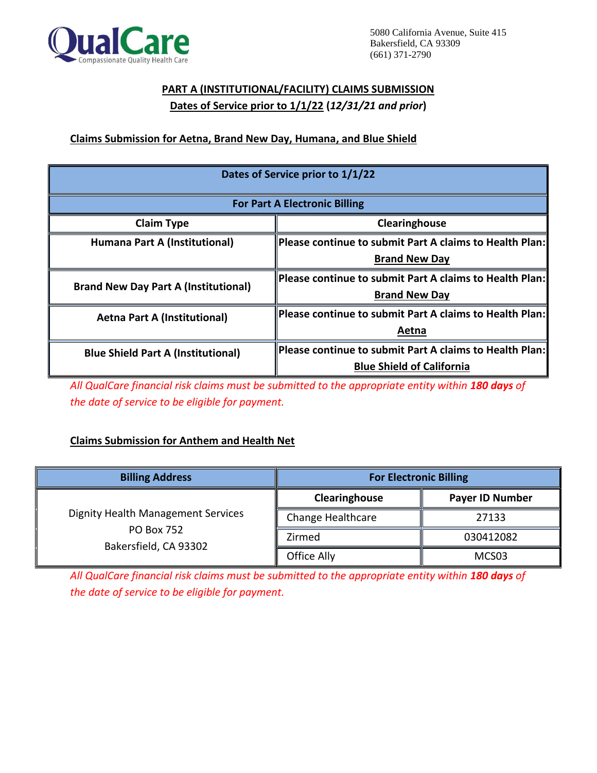

# **PART A (INSTITUTIONAL/FACILITY) CLAIMS SUBMISSION Dates of Service prior to 1/1/22 (***12/31/21 and prior***)**

### **Claims Submission for Aetna, Brand New Day, Humana, and Blue Shield**

| Dates of Service prior to 1/1/22            |                                                         |  |
|---------------------------------------------|---------------------------------------------------------|--|
| <b>For Part A Electronic Billing</b>        |                                                         |  |
| <b>Claim Type</b><br>Clearinghouse          |                                                         |  |
| Humana Part A (Institutional)               | Please continue to submit Part A claims to Health Plan: |  |
|                                             | <b>Brand New Day</b>                                    |  |
| <b>Brand New Day Part A (Institutional)</b> | Please continue to submit Part A claims to Health Plan: |  |
|                                             | <b>Brand New Day</b>                                    |  |
| <b>Aetna Part A (Institutional)</b>         | Please continue to submit Part A claims to Health Plan: |  |
|                                             | Aetna                                                   |  |
| <b>Blue Shield Part A (Institutional)</b>   | Please continue to submit Part A claims to Health Plan: |  |
|                                             | <b>Blue Shield of California</b>                        |  |

*All QualCare financial risk claims must be submitted to the appropriate entity within 180 days of the date of service to be eligible for payment.*

### **Claims Submission for Anthem and Health Net**

| <b>Billing Address</b>                                                                  | <b>For Electronic Billing</b> |                   |
|-----------------------------------------------------------------------------------------|-------------------------------|-------------------|
|                                                                                         | Clearinghouse                 | Payer ID Number   |
| <b>Dignity Health Management Services</b><br><b>PO Box 752</b><br>Bakersfield, CA 93302 | Change Healthcare             | 27133             |
|                                                                                         | Zirmed                        | 030412082         |
|                                                                                         | Office Ally                   | MCS <sub>03</sub> |

All QualCare financial risk claims must be submitted to the appropriate entity within 180 days of *the date of service to be eligible for payment.*